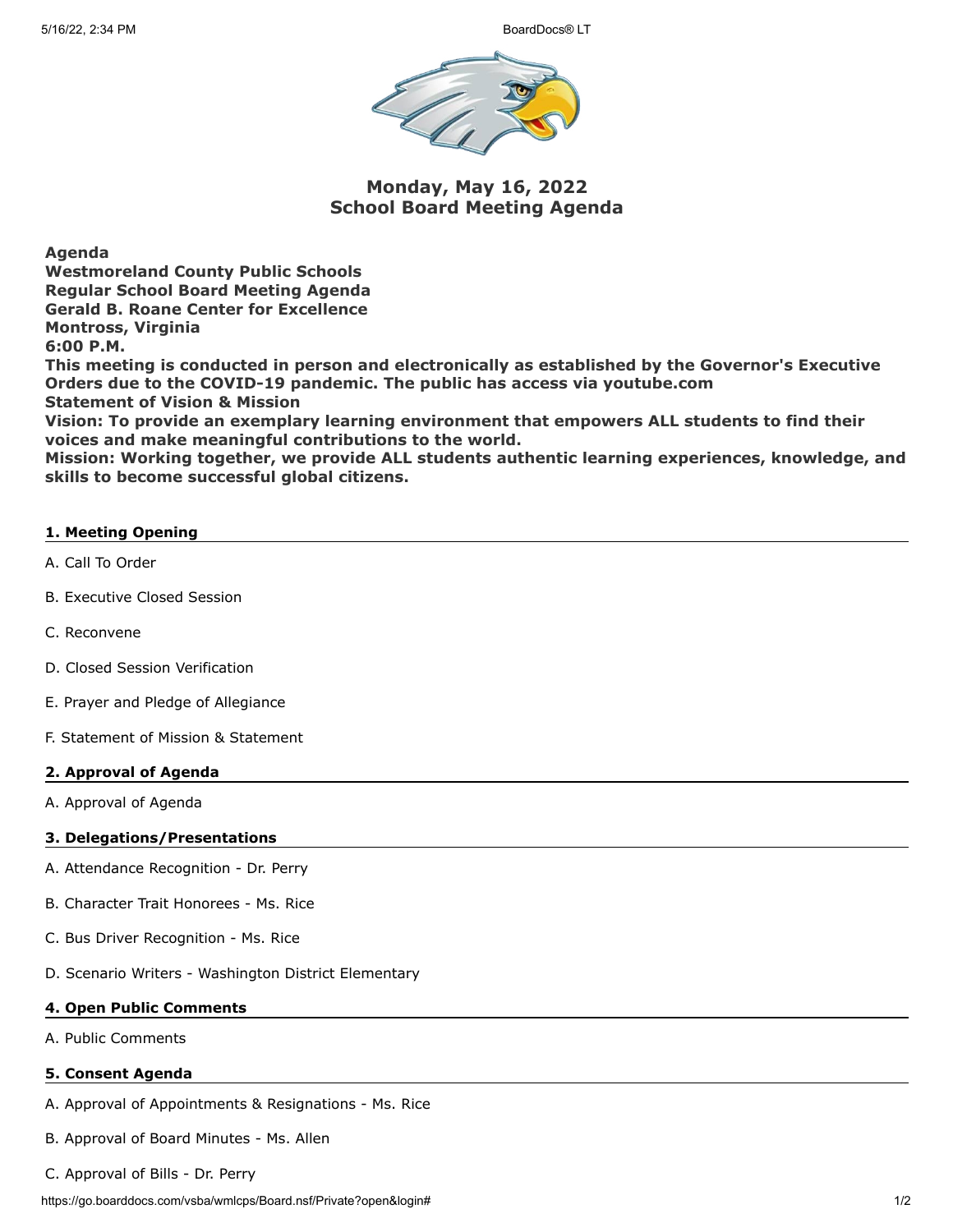

**Monday, May 16, 2022 School Board Meeting Agenda**

**Agenda**

**Westmoreland County Public Schools Regular School Board Meeting Agenda Gerald B. Roane Center for Excellence Montross, Virginia 6:00 P.M.**

**This meeting is conducted in person and electronically as established by the Governor's Executive Orders due to the COVID-19 pandemic. The public has access via youtube.com Statement of Vision & Mission**

**Vision: To provide an exemplary learning environment that empowers ALL students to find their voices and make meaningful contributions to the world.**

**Mission: Working together, we provide ALL students authentic learning experiences, knowledge, and skills to become successful global citizens.**

## **1. Meeting Opening**

- A. Call To Order
- B. Executive Closed Session
- C. Reconvene
- D. Closed Session Verification
- E. Prayer and Pledge of Allegiance
- F. Statement of Mission & Statement

## **2. Approval of Agenda**

A. Approval of Agenda

## **3. Delegations/Presentations**

- A. Attendance Recognition Dr. Perry
- B. Character Trait Honorees Ms. Rice
- C. Bus Driver Recognition Ms. Rice
- D. Scenario Writers Washington District Elementary

#### **4. Open Public Comments**

A. Public Comments

#### **5. Consent Agenda**

- A. Approval of Appointments & Resignations Ms. Rice
- B. Approval of Board Minutes Ms. Allen
- C. Approval of Bills Dr. Perry